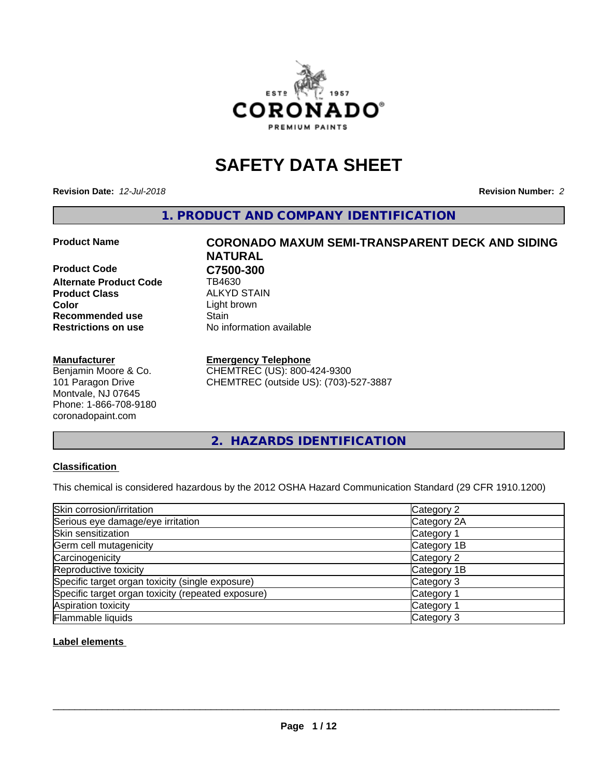

# **SAFETY DATA SHEET**

**Revision Date:** *12-Jul-2018* **Revision Number:** *2*

**1. PRODUCT AND COMPANY IDENTIFICATION**

**Product Code C7500-300**<br> **Alternate Product Code CB4630 Alternate Product Code Product Class** ALKYD STAIN<br> **Color** Light brown **Recommended use Stain Restrictions on use** No information available

# **Manufacturer**

Benjamin Moore & Co. 101 Paragon Drive Montvale, NJ 07645 Phone: 1-866-708-9180 coronadopaint.com

# **Product Name CORONADO MAXUM SEMI-TRANSPARENT DECK AND SIDING NATURAL** Light brown

# **Emergency Telephone**

CHEMTREC (US): 800-424-9300 CHEMTREC (outside US): (703)-527-3887

**2. HAZARDS IDENTIFICATION**

# **Classification**

This chemical is considered hazardous by the 2012 OSHA Hazard Communication Standard (29 CFR 1910.1200)

| Skin corrosion/irritation                          | Category 2            |
|----------------------------------------------------|-----------------------|
| Serious eye damage/eye irritation                  | Category 2A           |
| Skin sensitization                                 | Category 1            |
| Germ cell mutagenicity                             | Category 1B           |
| Carcinogenicity                                    | Category 2            |
| Reproductive toxicity                              | Category 1B           |
| Specific target organ toxicity (single exposure)   | Category 3            |
| Specific target organ toxicity (repeated exposure) | Category <sup>-</sup> |
| Aspiration toxicity                                | Category 1            |
| Flammable liquids                                  | Category 3            |

# **Label elements**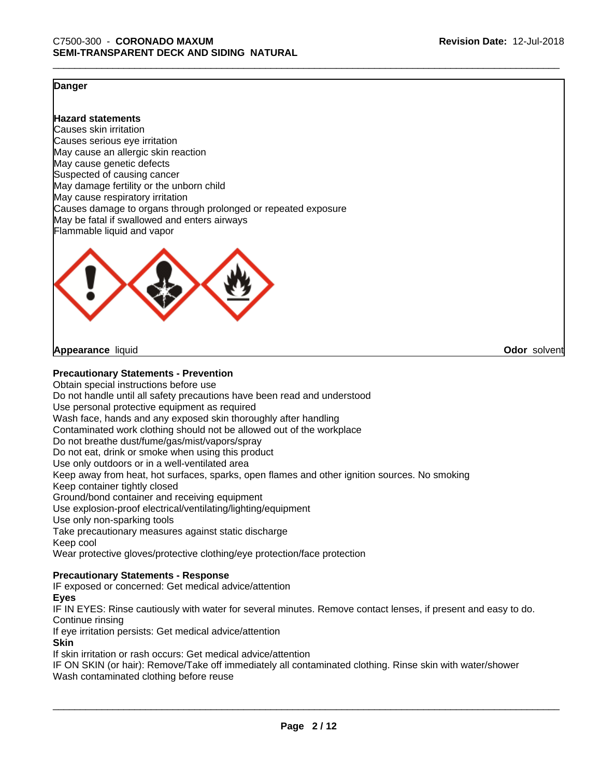**Odor** solvent

# **Danger**

# **Hazard statements**

Causes skin irritation Causes serious eye irritation May cause an allergic skin reaction May cause genetic defects Suspected of causing cancer May damage fertility or the unborn child May cause respiratory irritation Causes damage to organs through prolonged or repeated exposure May be fatal if swallowed and enters airways Flammable liquid and vapor



**Appearance** liquid

# **Precautionary Statements - Prevention**

Obtain special instructions before use Do not handle until all safety precautions have been read and understood Use personal protective equipment as required Wash face, hands and any exposed skin thoroughly after handling Contaminated work clothing should not be allowed out of the workplace Do not breathe dust/fume/gas/mist/vapors/spray Do not eat, drink or smoke when using this product Use only outdoors or in a well-ventilated area Keep away from heat, hot surfaces, sparks, open flames and other ignition sources. No smoking Keep container tightly closed Ground/bond container and receiving equipment Use explosion-proof electrical/ventilating/lighting/equipment Use only non-sparking tools Take precautionary measures against static discharge Keep cool Wear protective gloves/protective clothing/eye protection/face protection

# **Precautionary Statements - Response**

IF exposed or concerned: Get medical advice/attention

#### **Eyes**

IF IN EYES: Rinse cautiously with water for several minutes. Remove contact lenses, if present and easy to do. Continue rinsing

If eye irritation persists: Get medical advice/attention

# **Skin**

If skin irritation or rash occurs: Get medical advice/attention

IF ON SKIN (or hair): Remove/Take off immediately all contaminated clothing. Rinse skin with water/shower Wash contaminated clothing before reuse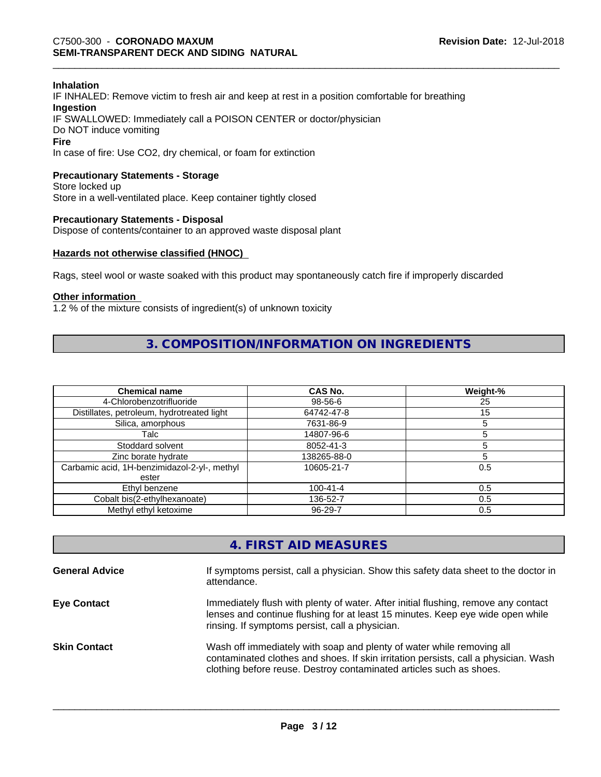# **Inhalation**

IF INHALED: Remove victim to fresh air and keep at rest in a position comfortable for breathing **Ingestion** IF SWALLOWED: Immediately call a POISON CENTER or doctor/physician Do NOT induce vomiting **Fire** In case of fire: Use CO2, dry chemical, or foam for extinction

# **Precautionary Statements - Storage**

Store locked up Store in a well-ventilated place. Keep container tightly closed

#### **Precautionary Statements - Disposal**

Dispose of contents/container to an approved waste disposal plant

# **Hazards not otherwise classified (HNOC)**

Rags, steel wool or waste soaked with this product may spontaneously catch fire if improperly discarded

#### **Other information**

1.2 % of the mixture consists of ingredient(s) of unknown toxicity

# **3. COMPOSITION/INFORMATION ON INGREDIENTS**

| <b>Chemical name</b>                         | CAS No.        | Weight-% |
|----------------------------------------------|----------------|----------|
| 4-Chlorobenzotrifluoride                     | 98-56-6        | 25       |
| Distillates, petroleum, hydrotreated light   | 64742-47-8     | 15       |
| Silica, amorphous                            | 7631-86-9      |          |
| Talc                                         | 14807-96-6     |          |
| Stoddard solvent                             | 8052-41-3      |          |
| Zinc borate hydrate                          | 138265-88-0    |          |
| Carbamic acid, 1H-benzimidazol-2-yl-, methyl | 10605-21-7     | 0.5      |
| ester                                        |                |          |
| Ethyl benzene                                | $100 - 41 - 4$ | 0.5      |
| Cobalt bis(2-ethylhexanoate)                 | 136-52-7       | 0.5      |
| Methyl ethyl ketoxime                        | 96-29-7        | 0.5      |

# **4. FIRST AID MEASURES**

| <b>General Advice</b> | If symptoms persist, call a physician. Show this safety data sheet to the doctor in<br>attendance.                                                                                                                                  |
|-----------------------|-------------------------------------------------------------------------------------------------------------------------------------------------------------------------------------------------------------------------------------|
| <b>Eye Contact</b>    | Immediately flush with plenty of water. After initial flushing, remove any contact<br>lenses and continue flushing for at least 15 minutes. Keep eye wide open while<br>rinsing. If symptoms persist, call a physician.             |
| <b>Skin Contact</b>   | Wash off immediately with soap and plenty of water while removing all<br>contaminated clothes and shoes. If skin irritation persists, call a physician. Wash<br>clothing before reuse. Destroy contaminated articles such as shoes. |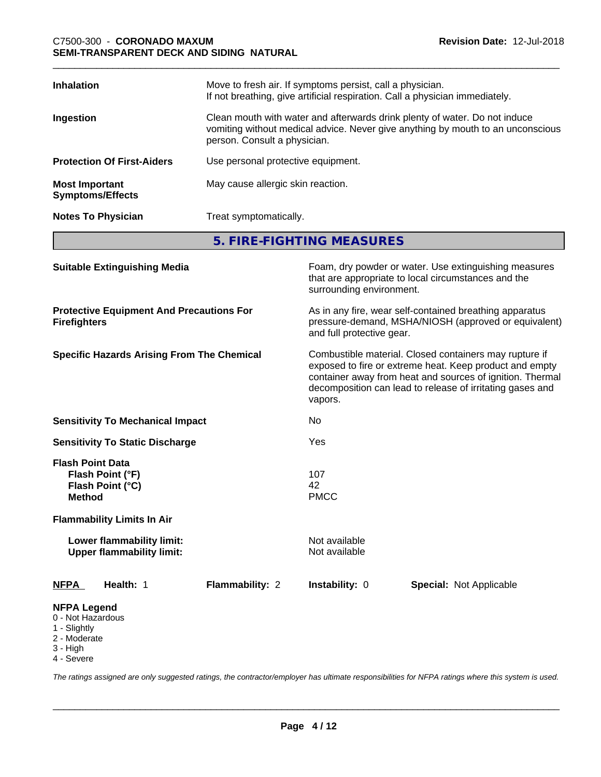| <b>Inhalation</b>                                | Move to fresh air. If symptoms persist, call a physician.<br>If not breathing, give artificial respiration. Call a physician immediately.                                                     |
|--------------------------------------------------|-----------------------------------------------------------------------------------------------------------------------------------------------------------------------------------------------|
| Ingestion                                        | Clean mouth with water and afterwards drink plenty of water. Do not induce<br>vomiting without medical advice. Never give anything by mouth to an unconscious<br>person. Consult a physician. |
| <b>Protection Of First-Aiders</b>                | Use personal protective equipment.                                                                                                                                                            |
| <b>Most Important</b><br><b>Symptoms/Effects</b> | May cause allergic skin reaction.                                                                                                                                                             |
| <b>Notes To Physician</b>                        | Treat symptomatically.                                                                                                                                                                        |

**5. FIRE-FIGHTING MEASURES**

| <b>Suitable Extinguishing Media</b>                                                 |                 | surrounding environment.       | Foam, dry powder or water. Use extinguishing measures<br>that are appropriate to local circumstances and the                                                                                                                                |
|-------------------------------------------------------------------------------------|-----------------|--------------------------------|---------------------------------------------------------------------------------------------------------------------------------------------------------------------------------------------------------------------------------------------|
| <b>Protective Equipment And Precautions For</b><br><b>Firefighters</b>              |                 | and full protective gear.      | As in any fire, wear self-contained breathing apparatus<br>pressure-demand, MSHA/NIOSH (approved or equivalent)                                                                                                                             |
| <b>Specific Hazards Arising From The Chemical</b>                                   |                 | vapors.                        | Combustible material. Closed containers may rupture if<br>exposed to fire or extreme heat. Keep product and empty<br>container away from heat and sources of ignition. Thermal<br>decomposition can lead to release of irritating gases and |
| <b>Sensitivity To Mechanical Impact</b>                                             |                 | No                             |                                                                                                                                                                                                                                             |
| <b>Sensitivity To Static Discharge</b>                                              |                 | Yes                            |                                                                                                                                                                                                                                             |
| <b>Flash Point Data</b><br>Flash Point (°F)<br>Flash Point (°C)<br><b>Method</b>    |                 | 107<br>42<br><b>PMCC</b>       |                                                                                                                                                                                                                                             |
| <b>Flammability Limits In Air</b>                                                   |                 |                                |                                                                                                                                                                                                                                             |
| Lower flammability limit:<br><b>Upper flammability limit:</b>                       |                 | Not available<br>Not available |                                                                                                                                                                                                                                             |
| <b>NFPA</b><br>Health: 1                                                            | Flammability: 2 | Instability: 0                 | <b>Special: Not Applicable</b>                                                                                                                                                                                                              |
| <b>NFPA Legend</b><br>0 - Not Hazardous<br>1 - Slightly<br>2 - Moderate<br>3 - High |                 |                                |                                                                                                                                                                                                                                             |

4 - Severe

*The ratings assigned are only suggested ratings, the contractor/employer has ultimate responsibilities for NFPA ratings where this system is used.*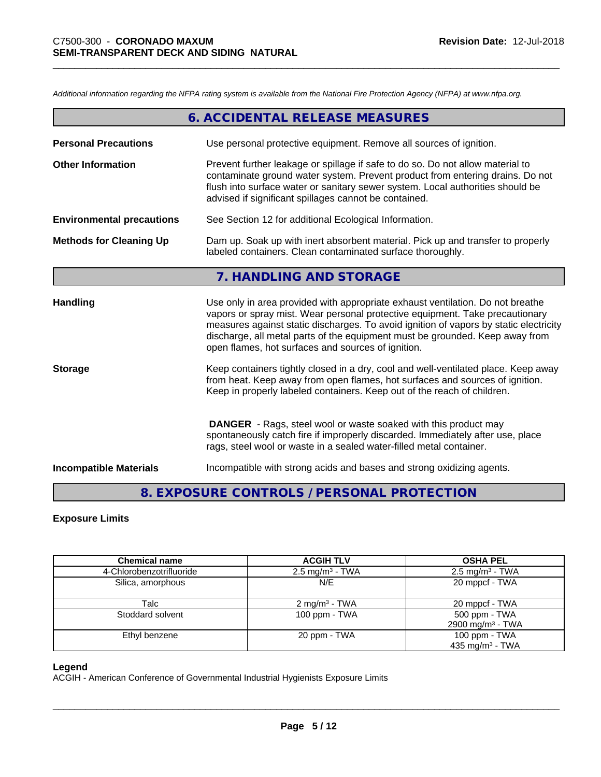*Additional information regarding the NFPA rating system is available from the National Fire Protection Agency (NFPA) at www.nfpa.org.*

|                                  | 6. ACCIDENTAL RELEASE MEASURES                                                                                                                                                                                                                                                                                                                                                                |
|----------------------------------|-----------------------------------------------------------------------------------------------------------------------------------------------------------------------------------------------------------------------------------------------------------------------------------------------------------------------------------------------------------------------------------------------|
| <b>Personal Precautions</b>      | Use personal protective equipment. Remove all sources of ignition.                                                                                                                                                                                                                                                                                                                            |
| <b>Other Information</b>         | Prevent further leakage or spillage if safe to do so. Do not allow material to<br>contaminate ground water system. Prevent product from entering drains. Do not<br>flush into surface water or sanitary sewer system. Local authorities should be<br>advised if significant spillages cannot be contained.                                                                                    |
| <b>Environmental precautions</b> | See Section 12 for additional Ecological Information.                                                                                                                                                                                                                                                                                                                                         |
| <b>Methods for Cleaning Up</b>   | Dam up. Soak up with inert absorbent material. Pick up and transfer to properly<br>labeled containers. Clean contaminated surface thoroughly.                                                                                                                                                                                                                                                 |
|                                  | 7. HANDLING AND STORAGE                                                                                                                                                                                                                                                                                                                                                                       |
| <b>Handling</b>                  | Use only in area provided with appropriate exhaust ventilation. Do not breathe<br>vapors or spray mist. Wear personal protective equipment. Take precautionary<br>measures against static discharges. To avoid ignition of vapors by static electricity<br>discharge, all metal parts of the equipment must be grounded. Keep away from<br>open flames, hot surfaces and sources of ignition. |
| <b>Storage</b>                   | Keep containers tightly closed in a dry, cool and well-ventilated place. Keep away<br>from heat. Keep away from open flames, hot surfaces and sources of ignition.<br>Keep in properly labeled containers. Keep out of the reach of children.                                                                                                                                                 |
|                                  | <b>DANGER</b> - Rags, steel wool or waste soaked with this product may<br>spontaneously catch fire if improperly discarded. Immediately after use, place<br>rags, steel wool or waste in a sealed water-filled metal container.                                                                                                                                                               |
| <b>Incompatible Materials</b>    | Incompatible with strong acids and bases and strong oxidizing agents.                                                                                                                                                                                                                                                                                                                         |

# **8. EXPOSURE CONTROLS / PERSONAL PROTECTION**

# **Exposure Limits**

| <b>Chemical name</b>     | <b>ACGIH TLV</b>           | <b>OSHA PEL</b>                               |
|--------------------------|----------------------------|-----------------------------------------------|
| 4-Chlorobenzotrifluoride | $2.5 \text{ mg/m}^3$ - TWA | $2.5 \text{ mg/m}^3$ - TWA                    |
| Silica, amorphous        | N/E                        | 20 mppcf - TWA                                |
| Talc                     | $2 \text{ mg/m}^3$ - TWA   | 20 mppcf - TWA                                |
| Stoddard solvent         | 100 ppm - TWA              | 500 ppm - TWA<br>2900 mg/m <sup>3</sup> - TWA |
| Ethyl benzene            | 20 ppm - TWA               | 100 ppm - TWA<br>435 mg/m $3$ - TWA           |

# **Legend**

ACGIH - American Conference of Governmental Industrial Hygienists Exposure Limits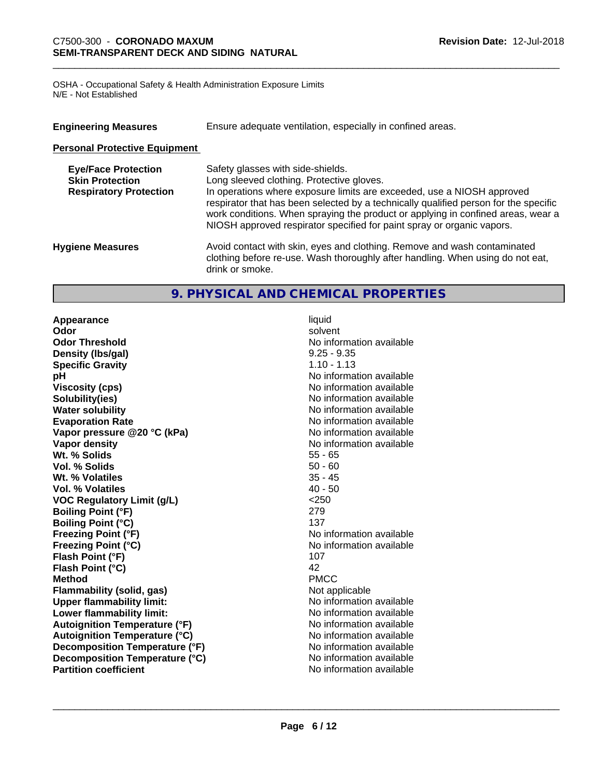OSHA - Occupational Safety & Health Administration Exposure Limits N/E - Not Established

| <b>Engineering Measures</b>                                                           | Ensure adequate ventilation, especially in confined areas.                                                                                                                                                                                                                                                                                                                                                     |
|---------------------------------------------------------------------------------------|----------------------------------------------------------------------------------------------------------------------------------------------------------------------------------------------------------------------------------------------------------------------------------------------------------------------------------------------------------------------------------------------------------------|
| <b>Personal Protective Equipment</b>                                                  |                                                                                                                                                                                                                                                                                                                                                                                                                |
| <b>Eye/Face Protection</b><br><b>Skin Protection</b><br><b>Respiratory Protection</b> | Safety glasses with side-shields.<br>Long sleeved clothing. Protective gloves.<br>In operations where exposure limits are exceeded, use a NIOSH approved<br>respirator that has been selected by a technically qualified person for the specific<br>work conditions. When spraying the product or applying in confined areas, wear a<br>NIOSH approved respirator specified for paint spray or organic vapors. |
| <b>Hygiene Measures</b>                                                               | Avoid contact with skin, eyes and clothing. Remove and wash contaminated<br>clothing before re-use. Wash thoroughly after handling. When using do not eat,<br>drink or smoke.                                                                                                                                                                                                                                  |

# **9. PHYSICAL AND CHEMICAL PROPERTIES**

**Appearance** liquid **Odor** solvent **Odor Threshold** No information available **Density (lbs/gal)** 9.25 - 9.35 **Specific Gravity** 1.10 - 1.13 **pH** No information available **Viscosity (cps)** No information available **Solubility(ies)**<br> **Solubility**<br> **Water solubility**<br> **Water solubility Evaporation Rate Evaporation Rate No information available Vapor pressure @20 °C (kPa)** No information available **Vapor density No information available No information available Wt. % Solids** 55 - 65 **Vol. % Solids** 50 - 60 **Wt. % Volatiles** 35 - 45 **Vol. % Volatiles** 40 - 50 **VOC Regulatory Limit (g/L)** <250 **Boiling Point (°F)** 279 **Boiling Point (°C)** 137 **Freezing Point (°F)** No information available **Freezing Point (°C)** No information available **Flash Point (°F)** 107 **Flash Point (°C)** 42<br> **Method** PMCC **Method** PMCC **Flammability (solid, gas)** Not applicable **Upper flammability limit:** No information available **Lower flammability limit:**  $\qquad \qquad \qquad$  No information available **Autoignition Temperature (°F)** No information available **Autoignition Temperature (°C)**<br> **Decomposition Temperature (°F)** No information available **Decomposition Temperature (°F) Decomposition Temperature (°C)** No information available<br> **Partition coefficient Partition available Partition coefficient** 

**No information available**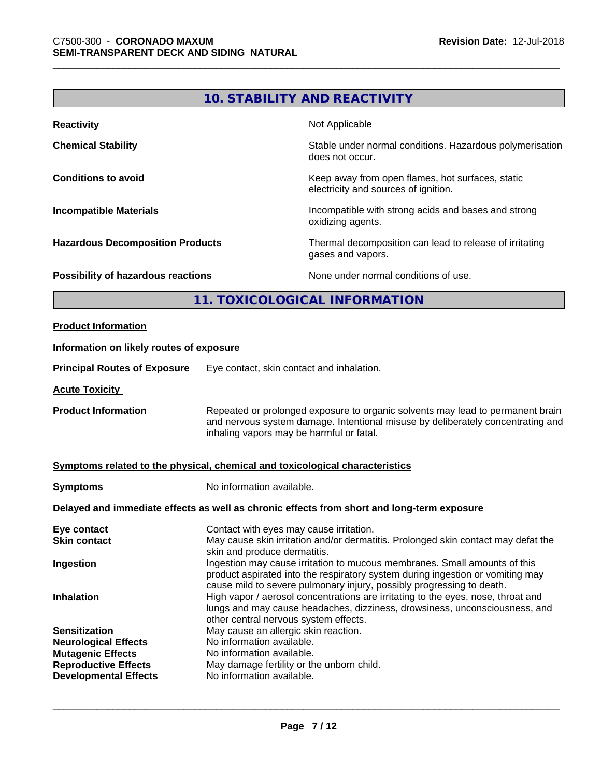# **10. STABILITY AND REACTIVITY**

| <b>Reactivity</b>                       | Not Applicable                                                                           |
|-----------------------------------------|------------------------------------------------------------------------------------------|
| <b>Chemical Stability</b>               | Stable under normal conditions. Hazardous polymerisation<br>does not occur.              |
| <b>Conditions to avoid</b>              | Keep away from open flames, hot surfaces, static<br>electricity and sources of ignition. |
| <b>Incompatible Materials</b>           | Incompatible with strong acids and bases and strong<br>oxidizing agents.                 |
| <b>Hazardous Decomposition Products</b> | Thermal decomposition can lead to release of irritating<br>gases and vapors.             |
| Possibility of hazardous reactions      | None under normal conditions of use.                                                     |

# **11. TOXICOLOGICAL INFORMATION**

| <b>Product Information</b>                                                                                                                     |                                                                                                                                                                                                                                                                                                                                                                                                                                                 |  |  |
|------------------------------------------------------------------------------------------------------------------------------------------------|-------------------------------------------------------------------------------------------------------------------------------------------------------------------------------------------------------------------------------------------------------------------------------------------------------------------------------------------------------------------------------------------------------------------------------------------------|--|--|
| Information on likely routes of exposure                                                                                                       |                                                                                                                                                                                                                                                                                                                                                                                                                                                 |  |  |
| <b>Principal Routes of Exposure</b>                                                                                                            | Eye contact, skin contact and inhalation.                                                                                                                                                                                                                                                                                                                                                                                                       |  |  |
| <b>Acute Toxicity</b>                                                                                                                          |                                                                                                                                                                                                                                                                                                                                                                                                                                                 |  |  |
| <b>Product Information</b>                                                                                                                     | Repeated or prolonged exposure to organic solvents may lead to permanent brain<br>and nervous system damage. Intentional misuse by deliberately concentrating and<br>inhaling vapors may be harmful or fatal.                                                                                                                                                                                                                                   |  |  |
|                                                                                                                                                | Symptoms related to the physical, chemical and toxicological characteristics                                                                                                                                                                                                                                                                                                                                                                    |  |  |
| <b>Symptoms</b>                                                                                                                                | No information available.                                                                                                                                                                                                                                                                                                                                                                                                                       |  |  |
|                                                                                                                                                | Delayed and immediate effects as well as chronic effects from short and long-term exposure                                                                                                                                                                                                                                                                                                                                                      |  |  |
| Eye contact<br><b>Skin contact</b>                                                                                                             | Contact with eyes may cause irritation.<br>May cause skin irritation and/or dermatitis. Prolonged skin contact may defat the<br>skin and produce dermatitis.                                                                                                                                                                                                                                                                                    |  |  |
| Ingestion<br><b>Inhalation</b>                                                                                                                 | Ingestion may cause irritation to mucous membranes. Small amounts of this<br>product aspirated into the respiratory system during ingestion or vomiting may<br>cause mild to severe pulmonary injury, possibly progressing to death.<br>High vapor / aerosol concentrations are irritating to the eyes, nose, throat and<br>lungs and may cause headaches, dizziness, drowsiness, unconsciousness, and<br>other central nervous system effects. |  |  |
| <b>Sensitization</b><br><b>Neurological Effects</b><br><b>Mutagenic Effects</b><br><b>Reproductive Effects</b><br><b>Developmental Effects</b> | May cause an allergic skin reaction.<br>No information available.<br>No information available.<br>May damage fertility or the unborn child.<br>No information available.                                                                                                                                                                                                                                                                        |  |  |
|                                                                                                                                                |                                                                                                                                                                                                                                                                                                                                                                                                                                                 |  |  |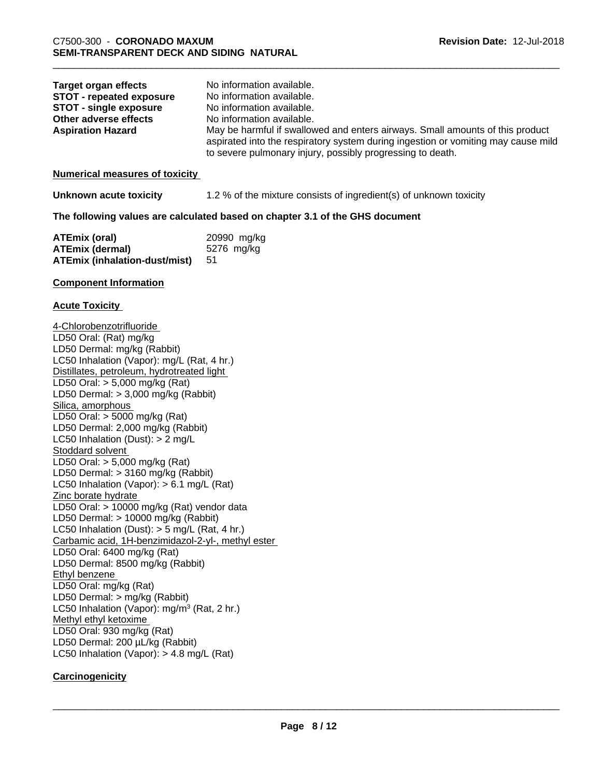| <b>Target organ effects</b><br><b>STOT - repeated exposure</b><br><b>STOT - single exposure</b><br>Other adverse effects<br><b>Aspiration Hazard</b>                                                                                                                                                                                                                                                                                                                                                                                                                                                                                                                                                                                                                                                                                                                                                                                                                                                                                                                                                                   | No information available.<br>No information available.<br>No information available.<br>No information available.<br>May be harmful if swallowed and enters airways. Small amounts of this product<br>aspirated into the respiratory system during ingestion or vomiting may cause mild<br>to severe pulmonary injury, possibly progressing to death. |
|------------------------------------------------------------------------------------------------------------------------------------------------------------------------------------------------------------------------------------------------------------------------------------------------------------------------------------------------------------------------------------------------------------------------------------------------------------------------------------------------------------------------------------------------------------------------------------------------------------------------------------------------------------------------------------------------------------------------------------------------------------------------------------------------------------------------------------------------------------------------------------------------------------------------------------------------------------------------------------------------------------------------------------------------------------------------------------------------------------------------|------------------------------------------------------------------------------------------------------------------------------------------------------------------------------------------------------------------------------------------------------------------------------------------------------------------------------------------------------|
| <b>Numerical measures of toxicity</b>                                                                                                                                                                                                                                                                                                                                                                                                                                                                                                                                                                                                                                                                                                                                                                                                                                                                                                                                                                                                                                                                                  |                                                                                                                                                                                                                                                                                                                                                      |
| Unknown acute toxicity                                                                                                                                                                                                                                                                                                                                                                                                                                                                                                                                                                                                                                                                                                                                                                                                                                                                                                                                                                                                                                                                                                 | 1.2 % of the mixture consists of ingredient(s) of unknown toxicity                                                                                                                                                                                                                                                                                   |
|                                                                                                                                                                                                                                                                                                                                                                                                                                                                                                                                                                                                                                                                                                                                                                                                                                                                                                                                                                                                                                                                                                                        | The following values are calculated based on chapter 3.1 of the GHS document                                                                                                                                                                                                                                                                         |
| <b>ATEmix (oral)</b><br><b>ATEmix (dermal)</b><br><b>ATEmix (inhalation-dust/mist)</b>                                                                                                                                                                                                                                                                                                                                                                                                                                                                                                                                                                                                                                                                                                                                                                                                                                                                                                                                                                                                                                 | 20990 mg/kg<br>5276 mg/kg<br>51                                                                                                                                                                                                                                                                                                                      |
| <b>Component Information</b>                                                                                                                                                                                                                                                                                                                                                                                                                                                                                                                                                                                                                                                                                                                                                                                                                                                                                                                                                                                                                                                                                           |                                                                                                                                                                                                                                                                                                                                                      |
| <b>Acute Toxicity</b>                                                                                                                                                                                                                                                                                                                                                                                                                                                                                                                                                                                                                                                                                                                                                                                                                                                                                                                                                                                                                                                                                                  |                                                                                                                                                                                                                                                                                                                                                      |
| 4-Chlorobenzotrifluoride<br>LD50 Oral: (Rat) mg/kg<br>LD50 Dermal: mg/kg (Rabbit)<br>LC50 Inhalation (Vapor): mg/L (Rat, 4 hr.)<br>Distillates, petroleum, hydrotreated light<br>LD50 Oral: $> 5,000$ mg/kg (Rat)<br>LD50 Dermal: $> 3,000$ mg/kg (Rabbit)<br>Silica, amorphous<br>LD50 Oral: $>$ 5000 mg/kg (Rat)<br>LD50 Dermal: 2,000 mg/kg (Rabbit)<br>LC50 Inhalation (Dust): $> 2$ mg/L<br>Stoddard solvent<br>LD50 Oral: $> 5,000$ mg/kg (Rat)<br>LD50 Dermal: $> 3160$ mg/kg (Rabbit)<br>LC50 Inhalation (Vapor): $> 6.1$ mg/L (Rat)<br>Zinc borate hydrate<br>LD50 Oral: > 10000 mg/kg (Rat) vendor data<br>LD50 Dermal: $> 10000$ mg/kg (Rabbit)<br>LC50 Inhalation (Dust): $>$ 5 mg/L (Rat, 4 hr.)<br>Carbamic acid, 1H-benzimidazol-2-yl-, methyl ester<br>LD50 Oral: 6400 mg/kg (Rat)<br>LD50 Dermal: 8500 mg/kg (Rabbit)<br>Ethyl benzene<br>LD50 Oral: mg/kg (Rat)<br>LD50 Dermal: > mg/kg (Rabbit)<br>LC50 Inhalation (Vapor): mg/m <sup>3</sup> (Rat, 2 hr.)<br>Methyl ethyl ketoxime<br>LD50 Oral: 930 mg/kg (Rat)<br>LD50 Dermal: 200 µL/kg (Rabbit)<br>LC50 Inhalation (Vapor): $> 4.8$ mg/L (Rat) |                                                                                                                                                                                                                                                                                                                                                      |
| Carcinogenicity                                                                                                                                                                                                                                                                                                                                                                                                                                                                                                                                                                                                                                                                                                                                                                                                                                                                                                                                                                                                                                                                                                        |                                                                                                                                                                                                                                                                                                                                                      |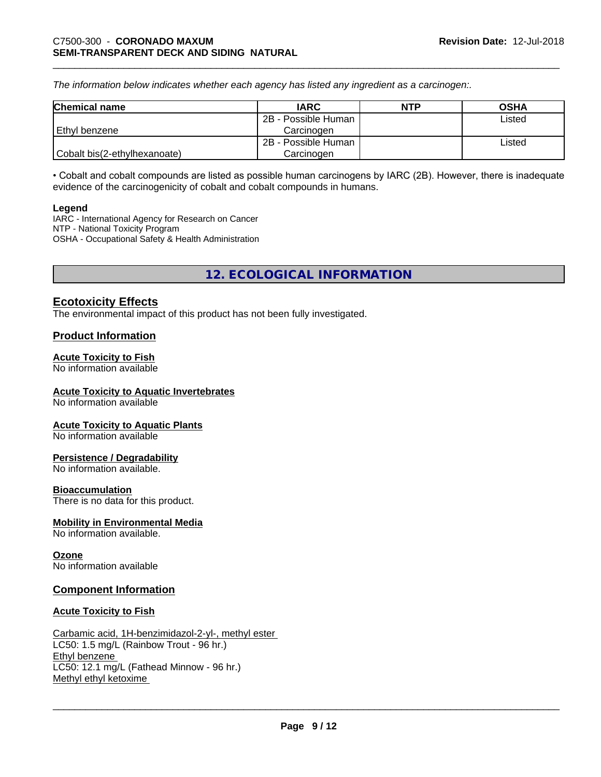*The information below indicateswhether each agency has listed any ingredient as a carcinogen:.*

| <b>Chemical name</b>         | <b>IARC</b>         | <b>NTP</b> | <b>OSHA</b> |
|------------------------------|---------------------|------------|-------------|
|                              | 2B - Possible Human |            | Listed      |
| Ethyl benzene                | Carcinoɑen          |            |             |
|                              | 2B - Possible Human |            | Listed      |
| Cobalt bis(2-ethylhexanoate) | Carcinogen          |            |             |

• Cobalt and cobalt compounds are listed as possible human carcinogens by IARC (2B). However, there is inadequate evidence of the carcinogenicity of cobalt and cobalt compounds in humans.

#### **Legend**

IARC - International Agency for Research on Cancer NTP - National Toxicity Program OSHA - Occupational Safety & Health Administration

**12. ECOLOGICAL INFORMATION**

# **Ecotoxicity Effects**

The environmental impact of this product has not been fully investigated.

# **Product Information**

# **Acute Toxicity to Fish**

No information available

# **Acute Toxicity to Aquatic Invertebrates**

No information available

# **Acute Toxicity to Aquatic Plants**

No information available

# **Persistence / Degradability**

No information available.

# **Bioaccumulation**

There is no data for this product.

# **Mobility in Environmental Media**

No information available.

# **Ozone**

No information available

# **Component Information**

# **Acute Toxicity to Fish**

Carbamic acid, 1H-benzimidazol-2-yl-, methyl ester LC50: 1.5 mg/L (Rainbow Trout - 96 hr.) Ethyl benzene LC50: 12.1 mg/L (Fathead Minnow - 96 hr.) Methyl ethyl ketoxime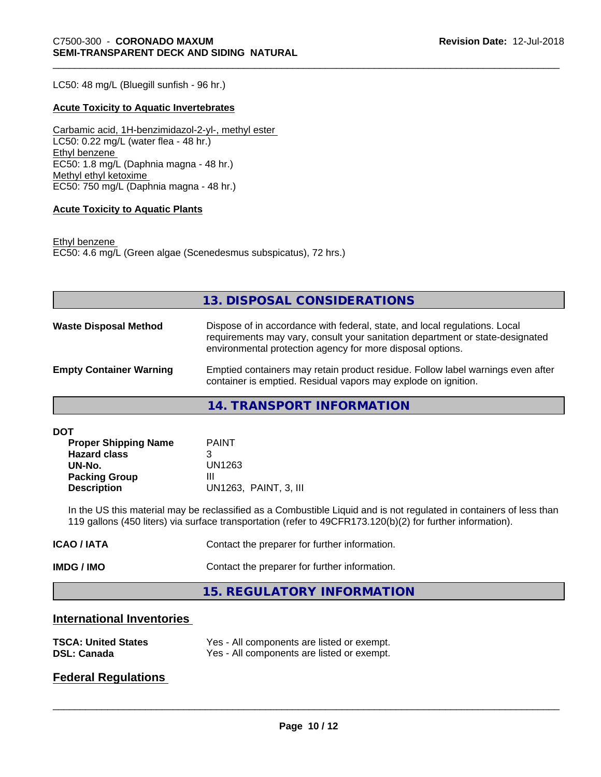LC50: 48 mg/L (Bluegill sunfish - 96 hr.)

# **Acute Toxicity to Aquatic Invertebrates**

Carbamic acid, 1H-benzimidazol-2-yl-, methyl ester LC50: 0.22 mg/L (water flea - 48 hr.) Ethyl benzene EC50: 1.8 mg/L (Daphnia magna - 48 hr.) Methyl ethyl ketoxime EC50: 750 mg/L (Daphnia magna - 48 hr.)

#### **Acute Toxicity to Aquatic Plants**

Ethyl benzene EC50: 4.6 mg/L (Green algae (Scenedesmus subspicatus), 72 hrs.)

|                                | 13. DISPOSAL CONSIDERATIONS                                                                                                                                                                                               |
|--------------------------------|---------------------------------------------------------------------------------------------------------------------------------------------------------------------------------------------------------------------------|
|                                |                                                                                                                                                                                                                           |
| <b>Waste Disposal Method</b>   | Dispose of in accordance with federal, state, and local regulations. Local<br>requirements may vary, consult your sanitation department or state-designated<br>environmental protection agency for more disposal options. |
| <b>Empty Container Warning</b> | Emptied containers may retain product residue. Follow label warnings even after<br>container is emptied. Residual vapors may explode on ignition.                                                                         |

**14. TRANSPORT INFORMATION**

**DOT**

| <b>Proper Shipping Name</b> | <b>PAINT</b>          |
|-----------------------------|-----------------------|
| <b>Hazard class</b>         |                       |
| UN-No.                      | UN1263                |
| <b>Packing Group</b>        | Ш                     |
| <b>Description</b>          | UN1263, PAINT, 3, III |

In the US this material may be reclassified as a Combustible Liquid and is not regulated in containers of less than 119 gallons (450 liters) via surface transportation (refer to 49CFR173.120(b)(2) for further information).

| IMDG / IMO       | Contact the preparer for further information. |
|------------------|-----------------------------------------------|
| <b>ICAO/IATA</b> | Contact the preparer for further information. |

**15. REGULATORY INFORMATION**

# **International Inventories**

| <b>TSCA: United States</b> | Yes - All components are listed or exempt. |
|----------------------------|--------------------------------------------|
| <b>DSL: Canada</b>         | Yes - All components are listed or exempt. |

# **Federal Regulations**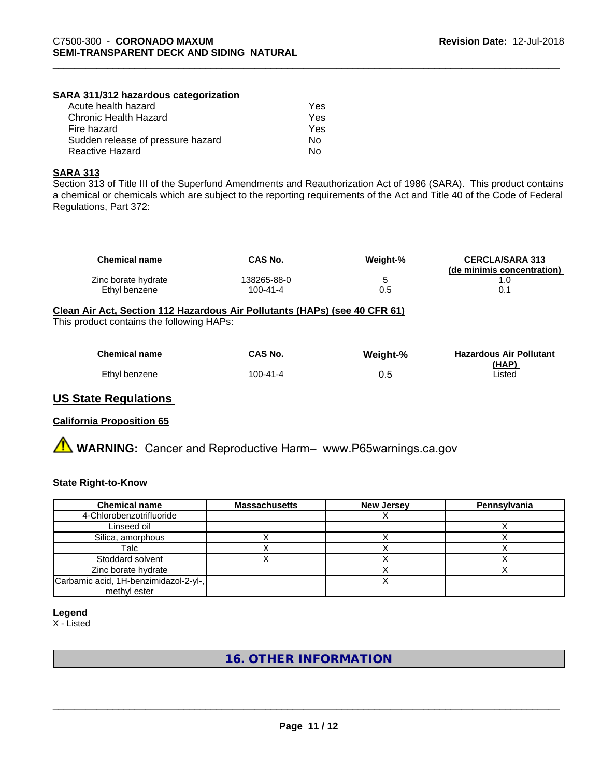# **SARA 311/312 hazardous categorization**

| Acute health hazard               | Yes |
|-----------------------------------|-----|
| Chronic Health Hazard             | Yes |
| Fire hazard                       | Yes |
| Sudden release of pressure hazard | Nο  |
| Reactive Hazard                   | N٥  |

# **SARA 313**

Section 313 of Title III of the Superfund Amendments and Reauthorization Act of 1986 (SARA). This product contains a chemical or chemicals which are subject to the reporting requirements of the Act and Title 40 of the Code of Federal Regulations, Part 372:

| <b>Chemical name</b> | <b>CAS No.</b> | Weight-% | <b>CERCLA/SARA 313</b><br>(de minimis concentration) |
|----------------------|----------------|----------|------------------------------------------------------|
| Zinc borate hydrate  | 138265-88-0    |          |                                                      |
| Ethyl benzene        | 100-41-4       | 0.5      |                                                      |

# **Clean Air Act,Section 112 Hazardous Air Pollutants (HAPs) (see 40 CFR 61)**

This product contains the following HAPs:

| <b>Chemical name</b> | CAS No.  | Weight-% | <b>Hazardous Air Pollutant</b> |
|----------------------|----------|----------|--------------------------------|
| Ethyl benzene        | 100-41-4 | 0.5      | (HAP)<br>Listed                |

# **US State Regulations**

# **California Proposition 65**

**A** WARNING: Cancer and Reproductive Harm– www.P65warnings.ca.gov

# **State Right-to-Know**

| <b>Chemical name</b>                  | <b>Massachusetts</b> | <b>New Jersey</b> | Pennsylvania |
|---------------------------------------|----------------------|-------------------|--------------|
| 4-Chlorobenzotrifluoride              |                      |                   |              |
| Linseed oil                           |                      |                   |              |
| Silica, amorphous                     |                      |                   |              |
| Talc                                  |                      |                   |              |
| Stoddard solvent                      |                      |                   |              |
| Zinc borate hydrate                   |                      |                   |              |
| Carbamic acid, 1H-benzimidazol-2-yl-, |                      |                   |              |
| methyl ester                          |                      |                   |              |

**Legend**

X - Listed

# **16. OTHER INFORMATION**